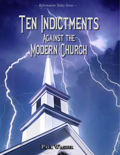– *Reformation Today Series* –

# TEN INDICTMENTS Against the MODERN CHURCH

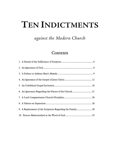# **TEN INDICTMENTS**

*against the Modern Church*

### Contents

| 9. A Replacement of the Scriptures Regarding the Family 30 |  |
|------------------------------------------------------------|--|
|                                                            |  |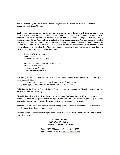*Ten Indictments against the Modern Church* was preached on October 22, 2008, at the [Revival](http://www.revivalconference.com/)  [Conference](http://www.revivalconference.com/) in Atlanta, Georgia.

**Paul Washer** ministered as a missionary in Peru for ten years, during which time he founded the HeartCry Missionary Society to support Peruvian church planters. HeartCry (as of November 2010) supports over 100 indigenous missionaries in more than 20 countries throughout Eastern Europe, South America, Africa, Asia, and the Middle East. An itinerant preacher, Paul also frequently teaches in his home church in Radford, Virginia. He is the author of *The One True God: A Biblical Study of the Doctrine of God* and *The Truth about Man: A Biblical Study of the Doctrine of Man*. Paul now serves as one of the laborers with the HeartCry Missionary Society (*www.heartcrymissionary.com*). He and his wife Charo have three children: Ian, Evan, and Rowan.

HeartCry Missionary Society PO Box 3506 Radford, Virginia 24143-3506

*That God's Name Be Great Among the Nations!* Phone: 540 707-1005 *info@heartcrymissionary.com www.heartcrymissionary.com*

© Copyright 2008 Paul Washer. Permission is expressly granted to reproduce this material by any means, provided that

1) you do not charge beyond a nominal sum for cost of duplication;

2) this copyright notice and all the text on this page are included.

Published in the USA by Chapel Library. Footnotes have been added by Chapel Library; some are abstracted from Wikipedia.org.

Chapel Library is a faith ministry that relies entirely upon God's faithfulness. We therefore do not solicit donations, but we gratefully receive support from those who freely desire to give. Chapel Library does not necessarily agree with all doctrinal positions of the authors it publishes.

**Worldwide**, please download material without charge from our website, or contact the international distributor as listed there for your country.

In **North America**, for additional copies of this booklet or other Christ-centered materials from prior centuries, please contact

> **CHAPEL LIBRARY 2603 West Wright Street Pensacola, Florida 32505 USA**

*Phone: (850) 438-6666* • *Fax: (850) 438-0227 [chapel@mountzion.org](mailto:chapel@mountzion.org)* • *[www.ChapelLibrary.org](http://www.chapellibrary.org/)*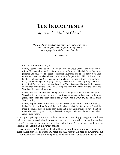## **TEN INDICTMENTS**

*against the Modern Church*

*"Now the Spirit speaketh expressly, that in the latter times some shall depart from the faith, giving heed to seducing spirits, and doctrines of devils."*

—1 Timothy 4:1

Let us go to the Lord in prayer.

Father, I come before You in the name of Your Son, Jesus Christ. Lord, You know all things. They are all before You like an open book. Who can hide their heart from Your presence and Your eye? The deeds of the most clever men are exposed before You. Your omniscience knows no bounds—and if it were not for grace, I would be of all men most terrified. But there *is* grace, abounding and glorious, poured out upon the weakest of men, and abounding to Your glory. Father, I praise You and I worship You; I thank You for all that You are and all that You have done. There is no one like You in the heavens or the earth or under the earth. You are King and there is no other. You are Savior and You share that glory with no one.

Father, this day You know me and my great need of grace. Why am I here except that You called the weakest among men, the most ignoble among brothers, and that by Your grace, often times, the lesser teaches the greater? That is always my case and I praise You. I worship *You*.

Father, help us today. To the wind with eloquence, to hell with the brilliant intellect, Father. Let the truth go forward. Let me be changed that the state of your Church be more glorious. I pray for grace upon grace and mercy upon mercy for myself and for those who hear. Help us, oh God, and we will be helped; and we will boast in that help in Jesus' name. Amen.

IT is a great privilege for me to be here today, an astounding privilege to stand here before you and to speak about things such as revival, reformation, the working of God among His people and among men. But today I am going to share with you an indictment—yet it is an indictment of hope.

As I was praying through what I should say to you, I came to a great conclusion, a great burden that was laid upon my heart: *We need revival.* We need an awakening, but we cannot simply expect the Holy Spirit to come down and clean up all the mess *we* have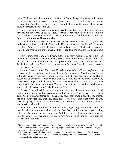made. We have clear direction from the Word of God with regard to what He has done through Christ, how He expects us to live, how He expects us to order His Church. And it does little good for men to cry out for extra-biblical manifestations when biblical principle is violated all around us.

I want you to know this: There is little need for the devil and evil men to oppose a man praying for revival unless he is also laboring for *reformation*. We have been given truth, and we cannot simply do what is right in our own eyes and then expect the Holy Spirit to come down and bless our labors.

As we look into the Old Testament, we see that Moses is given very, very detailed explanation on how to build the Tabernacle. Now, was that given for Moses' sake or for the Church's sake? I think that what is being explained there is that God is specific in His will, and that we are not to presume that we can take the smallest detail and ignore it.

Now I know that I am a frail man, buffeted by many weaknesses, but I have an indictment. I can't call it *my* indictment, because who am I to indict anyone? And I dare not call it God's indictment, for how can I presume upon His name? But I will say this: As I look around at the Church and compare her to Scripture, I see that there are certain things that *must* change.

I am not Martin Luther.<sup>[1](#page-4-0)</sup> This is not 95 declarations nailed to Wittenberg's door,<sup>[2](#page-4-1)</sup> but this is a burden on my heart and I must share it. *I must share it!* What I am going to say will anger some of you, but let me warn you. It may be true that you will be able to accuse me of arrogance. It may be true that you do not like my delivery. I have many times been arrogant, and I have many times delivered truth in a wrong way; but don't allow that to be an excuse for you. The question is this: Is what I am saying *true*, whether it is delivered through a faulty messenger or no?

Others of you will rejoice in what you hear and you will want to say, "Amen," and maybe pump your arms. But please don't do that, because *all of u*s bear a measure of guilt. And if you have attained to some spiritual state, then I would say what my brother has said. "What hast thou that thou didst not receive? now if thou didst receive it, why dost thou glory, as if thou hadst not received it?" (1Co 4:7). Would it not be better to worship God in humility?

If you are a younger minister, I do not want you to get caught up in these truths and take them back to storm your church without *love*. See to it that your knees are bleeding before you begin any sort of reformation. And if you are an older minister serving the Lord for many years, I beg you not to be arrogant. An old foolish king can learn from the weakest of his servants.

<span id="page-4-0"></span><sup>1</sup> **Martin Luther** (1483-1546) – a German Roman Catholic [monk,](http://en.wikipedia.org/wiki/Monk) [theologian,](http://en.wikipedia.org/wiki/Theology) university professor, and [church reformer,](http://en.wikipedia.org/wiki/Protestant_Reformers) whose writings and preaching inspired the [Protestant Reformation](http://en.wikipedia.org/wiki/Protestant_Reformation) and changed the course of [Western civilization.](http://en.wikipedia.org/wiki/Western_civilization)

<span id="page-4-1"></span><sup>2</sup> **95 declarations…door** – Luther posted 95 objections to the doctrine and practices of the Roman Catholic Church onto the door of the church at Wittenberg, Germany, on October 31, 1517, which began the Protestant Reformation.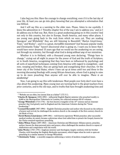I also beg you this: Have the courage to change everything, even if it is the last day of your life. At least you can go into glory knowing that you attempted a reformation that was biblical.

And I will say this as a warning to the older men. Please, listen to me carefully. I know the admonition in 1 Timothy chapter five of the way I am to address you,<sup>[3](#page-5-0)</sup> and so I do address you in that way. But, there is a great awakening going on in this country! And not only in this country, but also in Europe, South America, and many other places. I see young men going back to the rock from which we were cut. They are reading Spurgeon<sup>[4](#page-5-1)</sup> and Whitefield;<sup>[5](#page-5-2)</sup> they are still listening to Ravenhill,<sup>[6](#page-5-3)</sup> Martyn Lloyd-Jones,<sup>[7](#page-5-4)</sup> Tozer,<sup>[8](#page-5-5)</sup> and Wesley<sup>[9](#page-5-6)</sup>—and it is a great, *incredible movement!* Just because popular media and Christianity Today<sup>[10](#page-5-7)</sup> haven't discovered what is going on, I want you to know that I would have never dreamed 15 years ago that we would see the awakening we are seeing, not through my ministry, but through what God is doing *without any* of our ministries.

Whether it is in Holland, with a thousand young men declaring, "Things have to change," crying out all night in prayer for the power of God and the truth of Scripture; or in South America, recognizing that they have been so influenced by psychology and all sorts of superficial techniques coming from America with regard to evangelism—and now, weeping and broken, they are going back and evangelizing their churches. Or the inner city of the United States, where I have sat up at times until two and three in the morning discussing theology with young African-Americans, whom God is going to raise up to do more preaching than anyone will ever be able to imagine. *There is an awakening!*

Now, I am going to say this with tenderness: Most people over forty don't even have a clue about this awakening. Many young men are turning back to the great teachers from prior centuries, and to the old ways, and to truths that have brought awakening time and

<span id="page-5-1"></span><span id="page-5-0"></span>

<sup>&</sup>lt;sup>3</sup> "Rebuke not an elder, but intreat him as a father" (1Ti 5:1).<br><sup>4</sup> Charles H. Spurgeon (1834-1892) – influential English Baptist minister who preached weekly to 6,000 at the Metropolitan Tabernacle in London; his collected sermons fill 63 volumes.

<span id="page-5-2"></span><sup>&</sup>lt;sup>5</sup> George Whitefield (1714-1770) – the best-known evangelist of the  $18<sup>th</sup>$  century and an itinerant preacher that God greatly used in England and the American Colonies during the "Great Awakening."

<span id="page-5-3"></span><sup>6</sup> **Leonard Ravenhill** (1907-1994) – English Christian preacher and author who focused on the subjects of prayer and revival; he challenged the modern church to the example of the first-century church in the Book of Acts.

<span id="page-5-4"></span><sup>7</sup> **David Martyn Lloyd-Jones** (1899-1981) – well-known expository Welsh preacher; after successful medical studies, he nearly became a physician when God called him to preach the Gospel; known for his Christ-centered expository preaching.

<span id="page-5-5"></span><sup>8</sup> **Aiden Wilson Tozer** (1897-1963) – American Christian and Missionary Alliance pastor, preacher, author; known for deep personal piety and prayer; often challenged the modern church to repent of shallowness and compromise with the world.

<span id="page-5-6"></span><sup>9</sup> **John Wesley** (1703–1791): Anglican minister and theologian; largely credited, with his brother Charles, with founding the English Methodist movement, which began when he took to open-air preaching in a similar manner to George Whitefield.

<span id="page-5-7"></span><sup>&</sup>lt;sup>10</sup> Christianity Today – a monthly magazine addressing a variety of modern evangelical issues.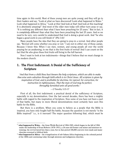time again in this world. Most of these young men are quite young; and they will go to their leaders and say, "Look at what we have discovered! Look what happened in Wales. $11$ Look what happened in Africa.<sup>[12](#page-6-2)</sup> Look at this! And look at that! And look at this teaching! It is absolutely amazing!" And most of the older men today will either turn away or say, "It is nothing any different than what I have been preaching for 25 years." But in fact, it is *completely different* than what they have been preaching the last 25 years. And so we need to be very, very careful to understand that God is doing a great work. And "he who began a good work in you will finish it" (Phi 1:6)!

Many people have the idea that they are going to pray-in a revival. And other people say, "Revival will come whether you pray or not." I am not in either one of those camps. Because I know this: When I see men, women, and young people all over the world praying for an awakening, to me that is the first fruits of revival! And I can count on the fact that He who gives these first fruits will bring in the full harvest.

Now I want to look at ten indictments—things that I believe that we must change in the modern church.

#### <span id="page-6-0"></span>1. The First Indictment: A Denial of the Sufficiency of **Scripture**

"*And that from a child thou hast known the holy scriptures, which are able to make thee wise unto salvation through faith which is in Christ Jesus. All scripture is given by inspiration of God, and is profitable for doctrine, for reproof, for correction, for instruction in righteousness. That the man of God may be perfect, throughly furnished unto all good works*."

#### —2 Timothy 3:15-17

First of all, the first indictment: a practical denial of the sufficiency of Scripture, especially in my denomination. Over the last several decades, there has been a mighty battle with regard to the inspiration of Scripture. Now some of you have not been a part of that battle, but many in more liberal denominations most certainly have seen this battle for the Bible.

But there is a problem. When you come to believe as a people that the Bible is inspired, you have only fought half the battle, because the question is not merely "is the Bible inspired?" i.e., is it inerrant? The major question following that, which must be

<span id="page-6-1"></span><sup>11</sup> **what happened in Wales** – the Great Welsh Revival of 1904-1905, which began in the fall of 1904 under the leadership of Evan Roberts (1878–1951), a 26-year-old former coal miner and minister-intraining; the revival lasted less than a year, but in that period 100,000 converts were made and many churches returned to biblical faith.

<span id="page-6-2"></span><sup>&</sup>lt;sup>12</sup> what happened in Africa – the evangelization of sub-Sahara Africa beginning in the colonial period of the 1800s and continuing today through missions and indigenous churches.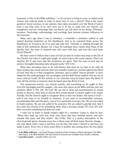answered, is this: Is the Bible *sufficient*, [13](#page-7-0) or do we have to bring in every so-called social science and cultural study in order to know how to run a church? That is the major question! Social sciences, in my opinion, have taken precedent over the Word of God in such a way that most of us can't even see it. It has so crept into our church, our evangelism, and our missiology that you barely can call what we are doing "Christian" anymore. Psychology, anthropology, and sociology have become primary influences in the churches.

Many years ago when I was in seminary, I remember a professor walked in and started drawing footprints on the blackboard. And as he marched them across the blackboard, he turned to all of us and said only this: "Aristotle is walking through the halls of this institution. Beware, for I hear his footsteps more clearly than those of the Apostle Paul, the team of inspired men who were with him, and even the Lord Jesus Christ Himself."

We have come to believe that a man of God can deal in certain tiny areas in the life of the Church; but when it really gets tough, we need to go to the social experts. That is an absolute *lie*! It says here that the Scriptures are given "that the man of God may be perfect, throughly furnished unto all good works" (2Ti 3:17).

What does Jerusalem have to do with Rome? And what do we have to do with all these modern day social sciences that were actually created as a protest against the Word of God? And why is it that evangelism, missions, and so-called "church growth" is more shaped by the anthropologist, the sociologist, and the Wall Street student who are up on every cultural trend? All the activity in our churches must be based upon the Word of God. All the activity in missions must be based upon the Word of God.

Our missionary activity, our church activity, and everything we do ought to flow from the theologian and the exegete—the man who opens up his Bible and has only one question: What is Thy will, Oh God? We are *not* to send out questionnaires to carnal people to discover what kind of church they would attend! A church ought to be seeker friendly, but the church ought to recognize there is only one Seeker. His name is God! and if you want to be friendly to someone, if you want to accommodate someone, accommodate Him and His glory, even if it is rejected by everyone else. We are not called to build empires. We are not called to be excessive. We are called to *glorify God*. And if you want the Church to be something other than a peculiar people<sup>[14](#page-7-1)</sup>(Ti 2:14; 1Pe 2:9), then you want something God does not want.

I want you to listen to Isaiah chapter eight for a moment. Listen to what he says: "When they shall say unto you, Seek unto them that have familiar spirits, and unto wizards that peep, and that mutter" (Isa 8:19a). This is a perfect description of the church growth gurus, because every two or three years all their major theories change not only about what a man is and how you fix him, but what a *church* is and how you make it grow. Every two or three years there is another fad coming down the line about

<span id="page-7-0"></span><sup>13</sup> **is the Bible sufficient** – see Geoff Thomas, *Satisfied with the Scriptures*; Charles Spurgeon, *The Bible*; John Piper, *Is the Bible Reliable?* All titles listed in footnotes are available from CHAPEL LIBRARY.

<span id="page-7-1"></span> $14$  **a peculiar people** – a people of His very own.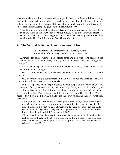what can make your church into something super in the eyes of the world. Just recently, one of the most well known church growth experts said that he discovered he was entirely wrong on all his theories. But instead of turning people to Scripture, on his knees broken and weeping, he goes out to find another theory!

They give no clear word! It says here in Isaiah, "should not a people seek unto their God? for the living to the dead?" (Isa 8:19b-20). Should we as churchmen, as preachers, as pastors, as Christians, should we go out and consult the spiritually *dead* on behalf of those whom the Holy Spirit has made *alive*? Absolutely not!

#### <span id="page-8-0"></span>2. The Second Indictment: An Ignorance of God

"*And the times of this ignorance God winked at; but now commandeth all men every where to repent*"—Acts 17:30

At times I am asked, "Brother Paul, please come and do a week long series on the attributes of God." And many times, I will say this: "Well, brother, have you thought this through?"

I remember one specific conversation, and the pastor replied, "What do you mean, 'Have I thought this through?' "

"Well, it is quite controversial, the subject that you are giving for me to teach in your church."

"What do you mean it is controversial? I mean it is God. We are Christians. This is a church. What do you mean it is controversial?"

I said, "Dear pastor, when I begin instructing your people on the justice of God, the sovereignty of God, the wrath of God, the supremacy of God, and the glory of God, you are going to have some of your finest and oldest church members stand up and say something like this: 'That is not my god. I could never love a God like that.' Why? because they have a god they have made with their own mind, and they love what they have made."

"Thus saith the LORD, Let not the wise man glory in his wisdom, neither let the mighty man glory in his might, let not the rich man glory in his riches: But let him that glorieth glory in this, that he understandeth and knoweth me, that I am the LORD which exercise lovingkindness, judgment, and righteousness, in the earth: for in these things I delight, saith the LORD."—*Jeremiah 9:23-24*

"These things hast thou done, and I kept silence; thou thoughtest that I was altogether such an one as thyself: but I will reprove thee, and set them in order before thine eyes. Now consider this, ye that forget God, lest I tear you in pieces, and there be none to deliver."—*Psalm 50:21-22*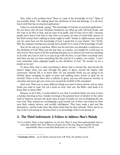Now, what is the problem here? There is a lack of the knowledge of God.<sup>[15](#page-9-1)</sup> Many of you possibly think, "Oh, talking about the attributes of God and theology, it is all ivory tower stuff that has no practical application."

Listen to yourself speak, saying, "The knowledge of God has no practical application." Do you know why all your Christian bookstores are filled up with self-help books, and five ways to do this or that, and six ways to be godly, and 10 ways not to fall?—because people don't know God! And so they have to be given all sorts of trivial little devices of the flesh to keep them walking as sheep ought to walk! "Awake to righteousness, and sin not; for some have not the knowledge of God: I speak this to your shame" (1Co 15:34). Why the rampant sinning even among God's people? It is a lack of the knowledge of God!

Now let me ask you a question. When was the last time you attended a conference on the attributes of God? When was the last time, as a pastor, you taught for a solid year on who God is? How much of all the teaching that goes on in America all week has anything to do with who God is? Isn't it so easy to go with the flow, to just follow everybody else? And then one day you hear something like this and all of a sudden, you realize, "I can't even remember when *anybody* taught on the attributes of God." No wonder we are a people as we are!

To know Him, that is what everything is about; that is eternal life. And eternal life doesn't begin when you pass through the gates of glory; eternal life begins with conversion. Eternal life is to know Him. Do you honestly think you are going to be thrilled about swinging on gates of pearl and walking down streets of gold for an eternity? There is One there who is infinite in glory, and you will spend an eternity of eternities and never get your arms even around the foothill of His mountain!

Start now. There are so many different things you want to know and do, and so many books you want to read. Get out a book on God—this one, the Bible—and study it to *know* Him, to know *Him*!

Because of all of this, I would submit to you that it would be better not even to have a Sunday morning service. Sunday morning is the greatest hour of idolatry in the entire week of America, because the great mass at least of people are not worshipping the one true God. They instead are worshipping a god formed out of their own hearts by their own flesh, satanic devices, and worldly intelligence. They have made a god just like themselves—and he looks more like Santa Claus than he does Jehovah. There can be no fear of the Lord among us, because there is no knowledge of the Lord among us!

#### <span id="page-9-0"></span>3. The Third Indictment: A Failure to Address Man's Malady

"*As it is written, There is none righteous, no, not one: There is none that understandeth, there is none that seeketh after God. They are all gone out of the way, they are together become unprofitable; there is none that doeth good, no, not one.*" —Romans 3:10-12

<span id="page-9-1"></span><sup>15</sup> **knowledge of God** – see J.I. Packer, *Knowing God*; A.W. Pink, *The Attributes of God*.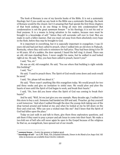The book of Romans is one of my favorite books of the Bible. It is not a systematic theology; but if you could say any book in the Bible was a systematic theology, the book of Romans would be the closest. Isn't it amazing that Paul spends the first three chapters of that book seeking to do one thing: to bring all men into condemnation? But condemnation is not the great *summum bonum*  $16$  in his theology; it is not his end or final purpose. It is a means to bring salvation to his readers, because men must be brought to a knowledge of self,<sup>[17](#page-10-1)</sup> before they will surrender self over to God. Men are made in such a fallen manner, that you must cut away from them absolutely every hope in the flesh, before they may be brought to God.

It is important in everything, but it is especially important in evangelism. I was 21 years old and had just been called to preach, when I walked into an old store in Paducah, Kentucky, where they sold suits to ministers for half price. They had been doing it for 50 or 60 years. All of a sudden, the door opened; I heard the bell ring; it closed. There was an old, old man standing there. I never caught his name, but he walked in and looked right at me. He said, "Boy, you have been called to preach, haven't you?"

I said, "Yes, sir."

He was an old, old evangelist. He said, "You see where that building is right outside this building?"

I said, "Yes."

 $\overline{a}$ 

He said, "I used to preach there. The Spirit of God would come down and souls would be saved."

I said, "Sir, please tell me about it."

He said, "There wasn't anything like this evangelism today. We would preach for two and three weeks and give no invitation to sinful men. We would plow and plow the hearts of men until the Spirit of God began to work, and break their hearts."

I said, "Sir, how did you know when the Spirit of God was coming to break their hearts?"

And he said, "Well, let me just give you one example. Many decades ago, I walked into this store to buy a suit. Someone had handed me \$30 and said, 'Preacher, go buy yourself a suit tomorrow.' And when I walked through the door the young clerk taking care of the shop turned around and looked at me; and when he looked at me he fell down on the floor and cried out, 'Who can save a wicked man like me?' And I knew that the Spirit of God had fallen upon the place."

Today we just walk in and talk to them, give them three exploratory questions, and ask them if they want to pray a prayer and ask Jesus to come into their heart. We make a two-fold son of hell who will never again be open to the Gospel because of the religious lie that we, as evangelicals, have spewed out of our mouth.

<span id="page-10-0"></span><sup>&</sup>lt;sup>16</sup> summum bonum – (Latin) the greatest or highest good.

<span id="page-10-1"></span><sup>17</sup> **knowledge of self** – see A.W. Pink, *Vile*; Jonathan Edwards, *Sinners in the Hands of an Angry God*. All titles in footnotes are available from CHAPEL LIBRARY.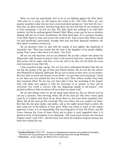When we treat sin superficially, first of all we are fighting against the Holy Spirit. "And when he is come, he will reprove the world of sin" (Joh 16:8). There are very popular preachers today who are more concerned about giving you "your best life now," than they are about eternity. And they brag about the fact that they do not mention sin in their preaching. I can tell you this: The Holy Spirit has nothing to do with their ministry, lest He be working against Himself. Why? When a man says he has no ministry dealing with the sin of men, nevertheless, the Holy Spirit *does*. It is a primary ministry of the Holy Spirit to come and convict the world of sin. And so know this: When you do not deal specifically, passionately, lovingly with men and their depraved condition, the Holy Spirit is nowhere around you.

We are *deceivers* when we deal with the malady of men lightly, like shepherds of Jeremiah's day. "They have healed also the hurt of the daughter of my people slightly, saying, Peace, peace; when there is no peace." (Jer 6:14).

We are not only deceivers, but we are *immoral*. We are like a doctor who denies his Hippocratic oath, because he doesn't want to tell someone bad news—because he thinks that person will be angry with him, or be sad. And so he does not tell them the news most necessary to save their life.

I hear preachers today, saying, "No, no! You don't understand, Brother Paul. We are not like the people of the day of John and Charles Wesley. We are not like the culture that Whitefield or Edwards<sup>[18](#page-11-0)</sup>addressed. We are not as hearty as they were; we are broken. We don't have as much self-esteem; we are feeble—we can't bear such preaching." Listen to me: Have you ever studied the lives of these men? Their culture couldn't bear what they preached either! No one has ever been able to bear the preaching of the Gospel. They will either turn against it with the fierceness of an animal, or they will be converted. Our world is overrun with this disgusting malady of self-esteem<sup>[19](#page-11-1)</sup>—our greatest problem is that we esteem self more than we esteem God!

We are also *thieves* when we do not speak much about sin. We are thieves! Let me ask you a question: This morning, where did all the stars go? Did some cosmic giant come by in a basket, pick them all up, throw them in, and carry them someplace else? Where did all the stars go this morning? They were there, but you couldn't see them. But then the sky grew darker and darker, and as the night turned black as pitch, the stars came out in the fullness of their glory. When you refuse to teach on the radical depravity of men, it is an impossibility that you bring glory to God, His Christ, and His Cross—because the Cross of Jesus Christ and its glory is most magnified when it is placed in front of the backdrop of our *depravity*. "She loved much because she has been forgiven much" (Luk 7:47)—and she knew how much she had been forgiven because she knew how wicked she was.

<span id="page-11-0"></span><sup>18</sup> **Jonathan Edwards** (1703-1758) – American Congregational preacher and evangelical theologian; well known for his preaching in the Great Awakening along with George Whitefield.

<span id="page-11-1"></span><sup>19</sup> **self-esteem** – see Jay Adams, *The Biblical View of Self-esteem*.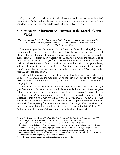Oh, we are afraid to tell men of their wickedness, and they can never love God because of it. We have robbed them of the opportunity to boast not in self, but to follow the admonition, "Let him who boasts, boast in the Lord" (2Co 10:17).

#### <span id="page-12-0"></span>4. Our Fourth Indictment: An Ignorance of the Gospel of Jesus Christ

"*But God commendeth his love toward us, in that, while we were yet sinners, Christ died for us. Much more then, being now justified by his blood, we shall be saved from wrath through him.*"—Romans 5:8-9

I submit to you that this country is not Gospel hardened; it is Gospel *ignorant*, because most of its preachers are. Let me repeat this. The malady in this country is not liberal politicians, the root of socialism, Hollywood, or anything else. It is the so-called evangelical pastor, preacher, or evangelist of our day; that is where the malady is to be found. We do not know *the Gospel*.<sup>[20](#page-12-1)</sup> We have taken the glorious Gospel of our blessed God and reduced it down to four spiritual laws, and five things God wants you to know, with a little superstitious prayer at the end. And if someone repeats it after us with enough sincerity, we popishly declare them to be born again! We have traded *regeneration*  $^{21}$  $^{21}$  $^{21}$  for *decisionism*.  $^{22}$  $^{22}$  $^{22}$ 

First of all, I am amazed after I have talked about this, how many godly believers of 30 and 40 years walking in the faith come up to me with tears, saying, "Brother Paul, I never heard this before in my life." And yet it is the historical doctrine of redemption<sup>[23](#page-12-4)</sup> and propitiation.<sup>[24](#page-12-5)</sup>

Let us define the problem very clearly. The Gospel begins with the nature of God; it goes from there to the nature of man and its fallenness. And from there, these two great columns of the Gospel come to set up for us what should be known in every believer's mouth as the *great dilemma*. And what is that dilemma? The greatest problem in all of Scripture is this: *If God is just, He cannot forgive you of your sin*. How can God be just and at the same time the justifier of wicked men, when Scripture throughout the Bible says (I will draw especially from one text in Proverbs): "He that justifieth the wicked, and he that condemneth the just, even they both are abomination to the LORD" (Pro 17:15). And yet all our Christian songs boast about how God justifies the wicked!

<span id="page-12-1"></span><sup>20</sup> **know the Gospel** – see Robert Hawker, *The True Gospel,* and the *Free Grace Broadcaster*, issue 198, "The Gospel." All titles listed in footnotes are available from CHAPEL LIBRARY.

<span id="page-12-2"></span><sup>21</sup> **regeneration** – see A.W. Pink, *Regeneration*, and the *FGB*, "The New Birth" (#202).

<span id="page-12-3"></span> $22$  decisionism – the belief that "making a decision," usually practiced by walking a church aisle as a method of showing belief and/or praying a sinner's prayer is equivalent to repenting of one's sins and trusting Christ alone for the pardon of sin; see James Adams, *Decisional Regeneration*.

<span id="page-12-4"></span><sup>&</sup>lt;sup>23</sup> **redemption** – the deliverance of God's elect from a state of sin into a state of salvation by the means and merit of the ransom paid by Christ on their behalf.

<span id="page-12-5"></span><sup>&</sup>lt;sup>24</sup> propitiation – appeasement; a sin offering that turns away wrath.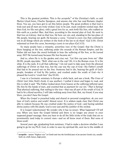This is the greatest problem. This is the acropolis<sup>[25](#page-13-0)</sup> of the Christian's faith, so said Martyn Lloyd-Jones, Charles Spurgeon, and anyone else who has read Romans chapter three. You see, you have got to set this before people. The great problem is that God is truly just and all men are truly wicked. God, to be just, must condemn wicked man. But then God, for His own glory, with a great love for us, sent forth His Son, who walked on this earth as a perfect Man. And then, according to the eternal plan of God, He went to that tree on Calvary. And on that tree, He bore our sin; and, standing in the law-place of His people, bearing our guilt, He became a curse. "Cursed is every one that continueth not in all things which are written in the book of the law to do them" (Gal 3:10). Christ redeemed us from the curse, becoming a curse in our place (Gal 3:13).

So many people have a romantic, powerless view of the Gospel: that the Christ is there hanging on the tree, suffering under the wounds of the Roman Empire, and the Father did not have the moral fortitude to bear the suffering of His Son, so He turned away. NO!! He turned away because His Son became *sin* !

And so, when He is in the garden and cries out, "Let this cup pass from me" (Mat 26:39), people speculate, "Well, what was in the cup? Oh, it is the Roman cross. It is the whip. It is the nails. It is all that suffering." I do not want to take away from the physical sufferings of Christ on that tree, but the cup was the cup of God—the Father's *wrath*  that had to be poured out on the Son. Someone had to die, bearing the guilt of God's people, forsaken of God by His justice, and crushed under the wrath of God—for it pleased the Lord to "crush him" (Isa 53:10).

I was in a Germanic seminary in Europe a while back, and saw a book, *The Cross of Christ* (not John Stott's book, it was another). I pulled it down and began to read, and this is what it said: "The Father looked down from heaven at the suffering inflicted upon His Son by the hands of men, and counted that as payment for our sin." *That is heresy!* That physical suffering, that nailing to the tree—that was all part of the wrath of God. It had to be a blood sacrifice; I will take nothing away from that. But, my friend, if you stop there, you don't have the Gospel.

When the Gospel is preached today and shared in personal evangelism, do you ever hear of God's justice and wrath? Almost never. It is seldom made clear that Christ was able to redeem because He was crushed under the justice of God—and having satisfied divine justice with His death, God is now just *and* the justifier of the wicked.

It is Gospel reductionism! We wonder why it has no power. What happened? I'll tell you: When you leave the Gospel behind and there is no longer any power in your supposed gospel message, then you have to do all the little tricks of the trade that are so prominently used today to convert men—and we all know most of them. But none of them work!

Several years ago, graduating from seminary, I had to make a decision whether I was going to go for my Ph.D. God, in order to save my spiritual life, sent me to the middle of

<span id="page-13-0"></span><sup>&</sup>lt;sup>25</sup> acropolis – means "highest city" in Greek and was the fortified part of an ancient Greek city, usually built on a hill; hence, high point.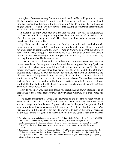the jungles in Peru—as far away from the academic world as He could get me. And there I began to realize something. As Spurgeon said, "Greater men with greater minds than I have approached this doctrine of the Second Coming, but to no avail. It is a great and mighty doctrine." He said, "I will set myself to this: seeking to comprehend something of Jesus Christ and Him crucified."

It makes me so angry when men treat the glorious Gospel of Christ as though it was the first step into Christianity that only takes about ten minutes of counseling—and after that you go on to greater stuff. That shows you how pathetic we are in our knowledge of the things of God.

My friend, on the day of the Second Coming you will understand absolutely everything about the Second Coming, but in the eternity of eternities of heaven, you will not even begin to comprehend the glory of God in Calvary. It is what *everything* is about. Young man, young preacher, listen to me. Get at the truth on that tree, what it means. You will need nothing to build strange fires in your oven (Lev 10:1-3), if you only catch a glimpse of what He did on that tree.

I love to say this. I have said it a million times. Abraham takes Isaac up that mountain—his son, his only son whom he loved. Do you suppose the Holy Spirit was trying to tell us about something future? And that son put up no struggle, but laid himself down. And when that father gave his will into the will of God, he brought down that flint knife to pierce his own son's heart. But his hand was stayed, and it was told the old man that God had provided a ram. So many Christians think, "Oh, what a beautiful end to that story." It is not the end; it is only the intermission. Thousands of years later God the Father laid His hand upon the brow of His Son, His only Son whom He loved, and took the flint knife out of the hand of Abraham and slaughtered His only begotten Son under the full force of His wrath.

Now do you know why that little gospel you preach has no power? Because it is no gospel! Get to the Gospel; spend your life on your knees. Get away from men; *study the Cross* !

The fourth indictment is actually an ignorance of the doctrine of *regeneration.* I know that there are both Calvinists<sup>[26](#page-14-0)</sup> and Arminians<sup>[27](#page-14-1)</sup> here, and I know that there are all sorts of strange animals in between. I guess I call myself a "five point Spurgeonist." But I want you to know this: Calvinism is not the issue. No, I'll tell you what the issue is: *it is regeneration!* And that is why I can have fellowship with Wesley, Ravenhill, Tozer, and all the rest—because regardless of where they stood on the other issues, they believed

<span id="page-14-0"></span><sup>26</sup> **Calvinists** – those who believe, along with the French-born Swiss Reformer John Calvin (1509-1664) that the Bible teaches the supreme authority of the Scriptures, the sovereignty of God, predestination, and the doctrines of grace; these doctrines were the response of the Synod of Dort (1618-19) to the Arminians' remonstrance (protest) and are commonly known by the acronym TULIP.

<span id="page-14-1"></span><sup>27</sup> **Arminians** – followers of Jacobus Arminius (1560-1609), Dutch theologian, born in Oudewater, the Netherlands, who rejected the Reformers' understanding of predestination, and they taught that God's predestination of individuals was based on His foreknowledge of their accepting or rejecting Christ by their own free will.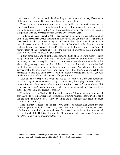that salvation could not be manipulated by the preacher, that it was a magnificent work of the power of almighty God. And with them, therefore, I stand.

There is a greater manifestation of the power of God in the regenerating work of the Holy Spirit than in the creation of the world, or even of the universe, because He created the world *ex nihilo*: out of nothing. But He re-creates a man out of a mass of *corruption*. It is parallel with the very resurrection of our Savior from the dead.

I understand that in preaching there are teachers, preachers, and expositors; and all of them are very necessary for the health of the Church. But you must understand this. I have heard of old G. Campbell Morgan (1863-1945) that when he would go up that majestic tower to preach, he would quote to himself, "as a lamb to the slaughter, and as a sheep before his shearers" (Isa 53:7). He knew that apart from a magnificent manifestation of the regenerating work of the Holy Spirit, everything he said would be dead. It is the Spirit that gives life (Joh 6:63).

In that sense every one of us that proclaims the truth of God's Word must proclaim as a prophet. What do I mean by that?—we are always Ezekiel standing in that valley of dry bones, and they are very dry (Eze 37:1-2)! And we walk out there and what do we do? We prophesy; we say, "Hear the Word of the Lord." And we know that the wind of God must blow on these slain ones, or they will not rise again. And when you have fully grasped that in the innermost part of your being, you will no longer give yourself to the manipulation that is so often carried out in the name of evangelism. Instead, you will proclaim the Word of God—the doctrine of *regeneration*.

Look at the Wesleys; look at what they had to face. And look at my dear Whitefield too. Everybody at that time believed they were Christian, thoroughly Christian. Why? because they were baptized as infants, brought into the "covenant," and confirmed. But they lived like devils! Regeneration was traded for a type of credalism<sup>[28](#page-15-0)</sup> that was given authority by the religious leaders of that day.

Then here came the Wesleys! No, they said, it is not right with your soul. You are not *born again*. There is no evidence of spiritual life. Examine yourself. Test yourself to see if you are in the faith (2Co 13:5). Make your calling and election sure (2Pe 1:10). "Ye must be born again" (Joh 3:7).

Here in America, because of the last several decades of modern evangelism, the idea of "born again" is totally lost. Now it only means that at one time in a crusade, you made a decision and you think you were sincere. But there is no evidence of a supernatural recreated work of the Holy Spirit in your life. "If *any* man," not if *some* men, "if any man be in Christ, he is a new creature" (2Co 5:17).

<span id="page-15-0"></span><sup>28</sup> **credalism** – outwardly following a formal creed or statement of faith without a new heart, without saving faith, and without a true heart love for God; see J.C. Ryle, *Formalism*.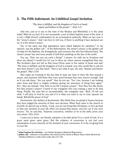#### <span id="page-16-0"></span>5. The Fifth Indictment: An Unbiblical Gospel Invitation

*"The time is fulfilled, and the kingdom of God is at hand; repent and believe in the gospel."*—Mark 1:15

And now, just as it was in the time of the Wesleys and Whitefield, it is the same today! What do we face? It is not necessarily a sort of infant baptism most of the time; it is not a High-Church confirmation by an ecclesiastical authority. What we face now is the "sinner's prayer." And I am here to tell you, if there is anything I have declared war on, it is the sinner's prayer.

Yes, in the same way that dependence upon infant baptism for salvation, $^{29}$  $^{29}$  $^{29}$  in my opinion, was the golden calf<sup>[30](#page-16-2)</sup> of the Reformation, the sinner's prayer is the golden calf of today for the Baptists, the Evangelicals, and everyone else who has followed them. The sinner's prayer has sent more people to hell than anything on the face of the earth!

You say, "How can you say such a thing?" I answer: Go with me to Scripture and show me, *please!* I would love for you to show me where anyone evangelized that way. The Scripture does not tell us that Jesus Christ came to the nation of Israel and said, "The time is fulfilled, and the kingdom of God is at hand, now who would like to ask me into their hearts? I see that hand." That is *not* what it says. He said, "Repent and believe the gospel" (Mar 1:15)!

Men today are trusting in the fact that at least one time in their life they prayed a prayer, and someone told them they were saved because they were sincere enough. And so if you ask them, "Are you saved?" they do not say, "Yes I am, because I am looking unto Jesus and there is mighty evidence giving me assurance of being born again." No!—they say instead, "One time in my life I prayed a prayer." Now they live like devils, but they prayed a prayer! I heard of one evangelist who was coaxing a man to do that thing. Finally, the man felt so uncomfortable, the evangelist said, "Well, I'll tell you what. I will pray to God for you and if it is what you want to say to God, squeeze my hands. Behold the power of God."

Decisionism, the idolatry of decisionism. Men think they are going to heaven because they have judged the sincerity of their own decision. When Paul came to the church in Corinth, he did not say to them, "Look, you are not living like Christians, so let's go back to that one moment in your life when you prayed that prayer, and let's see if you were sincere." No, he said this, "Examine yourselves, whether ye be in the faith; prove your own selves" (2Co 13:5).

I want you to know, my friends, salvation is by faith alone! It is a work of God. It is a grace upon grace upon grace. But the evidence of conversion is not just your examination of your sincerity at the moment of your conversion. It is the on-going fruit in your life.

<span id="page-16-1"></span><sup>29</sup> **infant baptism for salvation** – see Charles Spurgeon, *Baptismal Regeneration*.

<span id="page-16-2"></span><sup>&</sup>lt;sup>30</sup> golden calf – reference to the golden calf constructed by Aaron at Mount Sinai, which allowed the rebellious Hebrews to defy God's order (Exo 32:1-30).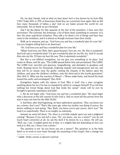Oh, my dear friends, look at what we have done! Isn't a tree known by its fruit (Mat 7:20)? Today 60% or 70% of Americans think they are converted, born again. But we kill how many thousands of babies a day? And we are hated around the world for our immorality. Yet we think we are Christian!

And I lay the blame for this squarely at the feet of the preachers. I have seen this everywhere. The Calvinist, the Arminian, a lot of them share something in common. It is this: the same superficial invitation. They talk a lot about a lot of things and then they come to the invitation, and it is almost as though everyone loses their minds.

Walk up to someone and say, "God loves you and has a wonderful plan for your life." Can you imagine telling that to an American?

"Sir, God loves you and has a wonderful plan for your life."

"What? God loves me? Well, that's great because I love me, too. Oh, this is wonderful. And God's got a wonderful plan? I've got a wonderful plan for my life, too. And if I accept Him into my life, I'll have my best life now. This is absolutely wonderful."

But this is not *biblical* evangelism. Let me give you something in its place. God comes to Moses, and He says, "The LORD passed before him and proclaimed, The LORD, The LORD God, merciful and gracious, longsuffering, and abundant in goodness and truth, Keeping mercy for thousands, forgiving iniquity and transgression and sin, and that will by no means clear the guilty; visiting the iniquity of the fathers upon the children, and upon the children's children, unto the third and to the fourth generation" (Exo 34:6-7). What was the reaction of Moses?—"Moses made haste, and bowed his head toward the earth, and worshipped" (Exo 34:8).

Evangelism begins with the nature of God. Who is God? Can a man recognize anything about his sin if he has no standard by which to compare himself? If we tell him nothing but trivial things about God that tickle the carnal<sup>[31](#page-17-0)</sup> mind, will he ever be brought to genuine repentance and faith?

1. We do not begin with, "God loves you and has a wonderful plan." We must begin with a discourse of the full counsel of who God is. And we must tell the person from the start it may cost him his life (Mat 16:24)!

2. And then, after that beginning, we have exploratory questions. "Hey, you know you are a sinner, don't you?" That's like years ago, when my mother was dying of cancer, the doctor walking in and saying, "Hey, Barb, you know you've got cancer, don't you?" We treat it so superficially. There is no weight; no solemnity.

Instead, we must tell them: "Sir, there is a terrible malady upon you and a judgment coming." Because if you just tell a man, "Sir, you know, you are a sinner?" you do not touch heart conviction at all. Go ask the devil if he knows he is a sinner. He will say, "Well, yes, I am. A mighty good one at that, or a mighty bad one depending on how you look at it. But, yes. I know I am a sinner."

The question is not "do you know you are a sinner?" The question is: Is the Holy Spirit so at work in your heart through the preaching of the Gospel, that a change has

<span id="page-17-0"></span><sup>31</sup> **carnal** – fleshly, sensual; as opposed to spiritual.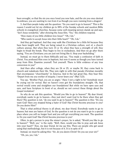been wrought, so that the sin you once loved you now hate, and the sin you once desired to embrace, you are wanting to run from it as though you were running from a dragon?

3. And then people today ask the question: "Do you want to go to heaven?" This is the reason I would not let my children go to 98% of the Sunday schools and vacation Bible schools in evangelical churches, because some well-meaning person stands up and says, "Isn't Jesus wonderful," after showing the Jesus film. "Yes," the children respond.

"How many of you little children love Jesus?" "Oh, I do."

"Who wants to accept Jesus into their little heart?" "Oh, I do."

And they get baptized. And they may walk like Christians for a little bit because they have been taught well. They are being raised in a Christian culture, sort of, a church culture anyway. But when they turn 15 or 16, when they have a strength of will, they begin to break the bonds. They begin to live in wickedness. And then we go after them saying, "You are Christians; you are just not living like it. Stop your backsliding."

Instead, we must go to them biblically and say, "You made a confession of faith in Christ. You professed Him even in baptism, but now it seems as though you have turned away from Him. Examine yourself. Test yourself. There is little evidence of any true conversion in you!"

And then after college, when they are 24 or 25, or maybe 30, they come back to church and rededicate their life. They join right in with that pseudo Christian morality that encompasses "churchianity" in America. And in the last great Day, they hear this: "Depart from me you worker of iniquity. I never knew you" (Mat 7:23).

You say, "Brother Paul, you are so angry." Have I not a right to be? Somebody must be crying out for revival. But we haven't even got the foundations straight. Oh, that revival would come and straighten our foundations! But while we have open eyes and ears, and have Scripture in front of us, should we not correct these things about the Gospel invitation?

So why do we ask this question, "Would you like to go to heaven?" My dear friend, everybody wants to go to heaven—they just don't want God to be there when they get there! The question is not, "do you want to go to heaven?" The question is this: "Do you want God? Have you stopped being a hater of God? Has Christ become precious to you? Do you desire Him?"

That is what political theory is all about, my dear friend. Everybody wants to go to heaven; but men are haters of God. So the question is not do you want to go to a special place where you will no longer hurt and you will get everything you want. The question is: Do you want God? Has Christ become precious to you?

Often, to get a person to pray the sinner's prayer, he is asked, "Would you like to go to heaven?" "Well, yes," is the reply. "Well, then, would you like to pray and ask Jesus into your heart?" Now, my dear friend, let me say this. There are people who get saved using that methodology, but it is not because of it. It is in spite of it!

Instead, we must be asking this: "Sir, do you desire Christ? Do you see your sin?"

"Oh, yes, yes, I do."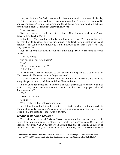"Sir, let's look at a few Scriptures here that lay out for us what repentance looks like, the Spirit bearing witness that this is happening in your life. Do you see brokenness? Do you see the disintegration of everything you thought, and now your mind is filled with new thoughts about God and new desires and new hope?"

"Yes, I see that.

"Sir, that may be the first fruits of repentance. Now, throw yourself upon Christ. *Trust* in Him. Trust in *Him* !"

Listen to me. You have the authority to tell men the Gospel. You have authority to tell men how to be saved, and you have authority to teach men biblical principles of assurance. But you have no authority to tell men they *are* saved. That is the work of the Holy Spirit of God!

But instead, you take them through that little thing, "Did you ask Jesus into your heart?"

"Yes," he replies.

"Do you think you were sincere?"

"Yes."

"Do you think He saved you?"

"I don't know."

"Of course He saved you because you were sincere and He promised that if you asked Him to come in, He would come in. So you are saved."

And they walk out of the church after five minutes of counseling, and then the evangelist goes to lunch, and the man is lost. The man is *lost* !

It is an unbiblical invitation. And if they ever doubt their salvation, then you do it all again. You say, "Was there ever a point in time in your life when you prayed and asked Jesus to come in?"

"Yes."

 $\overline{a}$ 

"Were you sincere?"

"I think so."

"Then that's the devil bothering you now."

And if they live without growth, even in the context of a church without growth in continued carnality—no fear. We blame it on the lack of personal discipleship, and we write it off as the doctrine of the "carnal Christian."

#### *The Myth of the "Carnal Christian"*

The doctrine of the carnal Christian<sup>[32](#page-19-0)</sup> has destroyed more lives and sent more people to hell than you can imagine! Do Christians struggle with sin? Yes. Can a Christian fall into sin? Absolutely. Can a Christian live in a continuous state of carnality all the days of his life, not bearing fruit, and truly be Christian? Absolutely *not* !—or every promise in

<span id="page-19-0"></span><sup>32</sup> **doctrine of the carnal Christian** – see L.R. Shelton, Jr., *The True Gospel of Christ versus the False Gospel of Carnal Christianity*. All titles listed in footnotes are available from CHAPEL LIBRARY.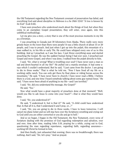the Old Testament regarding the New Testament covenant of preservation has failed, and everything God said about discipline in Hebrews is a lie (Heb 12:6)! "A tree is known by its fruit" (Luk 6:44).

I have seen preachers who understood much about the things of God, but when they come to an exemplary Gospel presentation, they will enter, once again, into this unbiblical methodology.

Let me give you a story, a story that is one of the most precious moments in my life as a Christian.

I was preaching in Canada just 30 kilometers from Alaska. There really were more grizzly bears in the town than there were people! It was a little church of about 15 or 20 people, and I was to preach. And just when I got up into the pulpit, this mountain of a man walked in, in his 60s or early 70s. He could have whipped every one of us in this building. And as I preached, as I saw his face, I just threw everything away and started preaching the Gospel. He was the saddest human being I had ever seen. I preached just Gospel and more Gospel, and when I was done, I walked from the pulpit directly to him.

I said, "Sir, what is wrong? What is troubling your soul? I have never seen a man so sad and down-hearted in all my life?" He pulled out a manila envelope; it had some xrays which I couldn't understand. But he said, "I just came from the doctor. I am going to die in three weeks." That is what he told me. "Now I have lived all my life on a working cattle ranch. You can only get there by float plane or riding horses across the mountains." He said, "I have never been to church; I have never read a Bible. I believe there is a God, and one time I heard somebody talking about some guy named Jesus." He said, "I have never been afraid of anything in my life—and I am terrified."

I said, "Sir, did you understand the message, the Gospel?"

He said, "Yes."

Now what would have a great majority of preachers done at that moment? "Well, would you like to ask Jesus to come into your heart?"—that is what they would have done.

I said, "Sir, you understood it?"

He said, "I understood it, but is that it?" He said, "A child could have understood that. Is that all it is, that I understand it and I pray, or...?"

I said, "Sir, you are going to die in three weeks. I have to leave tomorrow. I will cancel my plane ticket and we will stay here over the Scriptures wrestling and crying out to God until you are either converted or you die and go to hell."

And so we began. I began in the Old Testament, the New Testament, every verse of Scripture dealing with the promises of God regarding redemption and salvation, over and over, time after time, reading John 3:16, praying for a while, crying out to God, questioning the man regarding repentance, regarding faith, regarding assurance working till Christ be formed in him.

And then finally, just exhausted that evening, there was no breakthrough; there was nothing. And I said, "Sir, let's pray." And we prayed.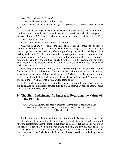I said, "Sir, read John 3:16 again."

He said, "We have read this a million times."

I said, "I know, but it is one of the greatest promises of salvation. Read that text again."

And I will never forget it. He had my Bible on his lap in those big mountainous hands of his and he said, "OK." He said, "For God so loved the world, that He gave...— I'm saved. I'm saved! Brother Paul, all my sins are gone! I have eternal life! I'm saved!"

I said, "How do you know?"

He said, "Haven't you ever read this verse before?"

What was going on? A working of the Spirit of God, instead of those little tricks you try. What!—you want to go eat? What!—you think preaching is a spectacle, and after that you go back to the hotel? No, after the preaching is when the work begins. It is dealing with souls. People come forward in meetings for counsel by someone who shouldn't be counseling. And after five minutes, they are given the sinner's prayer to pray and the card to sign. And then, quick, give the card to the pastor, and the pastor says, "I would like to present to you a new child of God. Welcome him into the family of God." How dare you!!

If you are going to present him, say this: "This man tonight has made a profession of faith in Jesus Christ. And because of our fear of God and our love for the souls of men, we will now be working with him to make sure that Christ has truly been formed in him, that he truly has a biblical understanding of repentance and faith, and great assurance and joy in the Holy Spirit. That is what we are going to do."

Look at what we have done in modern Christianity. I plead with you, look at what we are doing. And this is not some strange cult. This is us that we are talking about. I plead with you: Stop it. *Please, stop it!*

#### <span id="page-21-0"></span>6. The Sixth Indictment: An Ignorance Regarding the Nature of the Church

"*That thou mayest know how thou oughtest to behave thyself in the house of God, which is the church of the living God, the pillar and ground of the truth.*" —1 Timothy 3:15

God has only one religious institution: It is the Church. And our ultimate goal and the ultimate result of revival in this world will be the planting of biblical churches. I have the greatest fear that the local church today is despised. Tell somebody you are an itinerant preacher, that you have a world-wide ministry, and they all bow down. Tell someone you are a pastor of a group of thirty, and they make you sit in the back during the conference. Jesus Christ is not the Prince of itinerant preachers; He is the prince of *pastors*.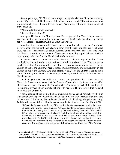Several years ago, Bill Clinton had a slogan during the election: "It is the economy, stupid!" My pastor, Jeff Noblit—one of the elders in our church, $33$  the primary teaching and preaching pastor—he said to me one day, "You know, I'd like to have a bunch of shirts made up."

"What would they say, brother Jeff?"

"It's the Church, stupid!"

 $\overline{a}$ 

Jesus gave His life for the Church, a beautiful, virgin, pristine Church. If you want to give your life for something in the ministry, give it to the Church: to a church, a body of believers, a local congregation. It is all about the Church.

Now, I want you to listen well. There is not a remnant of believers in the Church. We all know about the remnant theology, you know, that throughout all the course of Israel there was Israel the people of God and a remnant of true believers. That is not true about the Church. There is not a remnant of believers or a small group of believers inside a larger group called the Church. The Church *is the remnant*.

If pastors have ever come close to blaspheming, it is with regard to this. I hear theologians, itinerant teachers, and pastors saying these sorts of things: "There is just as much sin in the Church as out of the Church. There is just as much divorce in the Church as out of the Church. There is just as much immorality and pornography in the Church as out of the Church." And then preachers say, "Yes, the Church is acting like a whore." I want you to know this: You ought to be very careful calling the bride of Jesus Christ a whore.

I will tell you what the problem is: Pastors and preachers don't know what the Church is. I want you to know that the Church of Jesus Christ in America is beautiful. She is frail at times. She is weak. She is buffeted. She is not perfect. But I want you to know: She *is broken*. She is humbly walking with her God. The problem is that we don't know what the Church is.

Today, because of the lack of biblical preaching, the so called "church" is filled up with carnal, wicked people identified with Christianity. And then, because of all the goats in the midst of the lambs, the lambs are blamed for all the things the goats are doing. And then the name of God is blasphemed among the Gentiles because of us (Rom 2:24).

"Behold, the days come, saith the LORD, that I will make a new covenant with the house of Israel, and with the house of Judah: Not according to the covenant that I made with their fathers in the day that I took them by the hand to bring them out of the land of Egypt; which my covenant they brake, although I was an husband unto them, saith the LORD: But this shall be the covenant that I will make with the house of Israel; After those days, saith the LORD, I will put my law in their inward parts, and write it in their hearts; and will be their God, and they shall be my people. And they shall teach no more every man his neighbour, and every man his brother, saying, Know the LORD: for they

<span id="page-22-0"></span><sup>33</sup> **in our church** – Paul Washer attended First Baptist Church of Muscle Shoals, Alabama, for many years, where Jeff Noblit continues to serve (now Grace Life Church). In the spring of 2010, Paul and the staff of HeartCry Missionary Society moved to West Virginia to plant a new church.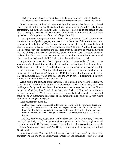shall all know me, from the least of them unto the greatest of them, saith the LORD: for I will forgive their iniquity, and I will remember their sin no more."—*Jeremiah 31:31-34*

Now I do not want to take away anything from the people called Israel, but this text is also applied to the Church. Understand that. I don't want to get into any battles on eschatology, but in the Bible, in the New Testament, it is applied to the people of God. "Not according to the covenant that I made with their fathers in the day that I took them by the hand to bring them out of the land of Egypt" (vs. 32).

I hear preachers saying all the time, "Well, when you look back and you see Israel, you see a bunch of godless people, idolaters. And in the midst of them there was a tiny remnant of true believers." That is true, but don't apply that to the New Testament Church, because God says, "I am going to do something different, Not like the covenant which I made with their fathers in the day I took them by the hand to bring them out of the land of Egypt, My covenant which they broke, although I was a husband to them, declares the LORD. But this is the covenant which I will make with the house of Israel after those days, declares the LORD, I will put my law within them" (vs. 33).

If you are converted, God hasn't given you just a stone tablet of laws. He has supernaturally, through the doctrine of regeneration, written those laws in your heart. And because He has done that, "I will be their God, and they shall be my people" (vs. 33).

And look what it says: "And they shall teach no more every man his neighbour, and every man his brother, saying, Know the LORD: for they shall all know me, from the least of them unto the greatest of them, saith the LORD: for I will forgive their iniquity, and I will remember their sin no more" (vs. 34).

Again, this is the doctrine of regeneration. God is doing a new work these last 2000 years. We don't have a lot of churches in America; we have a lot of really nice brick buildings on finely manicured lawns! Just because someone says they are of the Church or they are Christian, doesn't make it so. Look what God says: "They will not even have to teach one another." That doesn't mean there won't be teachers and preachers, but there will be an outstanding knowledge of God among them all, particularly with regard to their sins having been forgiven.

Look at Jeremiah 32:38-40.

And they shall be my people, and I will be their God: And I will give them one heart, and one way, that they may fear me for ever, for the good of them, and of their children after them: And I will make an everlasting covenant with them, that I will not turn away from them, to do them good; but I will put my fear in their hearts, that they shall not depart from me.

"And they *shall* be my people, and I will be their God." God does not say, "I hope so, maybe, if I get lucky, oh, if I can get enough evangelists to work with Me, maybe this will all come out right." No! Instead, He says, "I am going to pull a people for Me, a people that I am going to give to my Son." And He says, "And they shall be my people, and I will be their God."

Now look at this: "And I will give them *one* heart, and *one* way." Do you see the contrast? The 70s and 80s had many "Jesus marches," and thousands of people weeping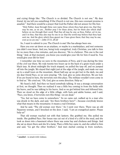and crying things like: "The Church is so divided. The Church is not one." My dear friend, let me tell you something: If the Church is not one, this new covenant promise is assailed.<sup>[34](#page-24-0)</sup> And there would be a prayer that God the Father did not answer for His Son:

"Holy Father, keep through thine own name those whom thou hast given me, that they may be *one*, as we are…Neither pray I for these alone, but for them also which shall believe on me through their word; That they all may be one; as thou, Father, art in me, and I in thee, that they also may be one in us: that the world may believe that thou hast sent me. And the glory which thou gavest me I have given them; that they may be *one*, even as we are *one*."—*John 17:11, 20-22*

So, I want to submit to you: The Church is *one*! She has *always* been one.

Have you ever sat down on an airplane, or maybe in a marketplace, and met someone you didn't even know. And you, being truly evangelical, truly Christian, you talk to him for no more than a few minutes, and you discover, "He is a believer. This one is the real thing." And, at that moment, you know you would give your life for him if need be. You would give your *life* for him!

I remember one time we were in the mountains of Peru, and it was during the time of the civil war there. We rode twenty-two hours up in the back of a grain truck under a black tarp. At about midnight the truck stopped, we pulled the tarp off, and we jumped off into the jungle. We stayed that night just at the edge of the jungle, and made our way up to a small town on the mountain. About half-way up we got lost in the dark, me and my dear friend Paco, so we were praying, "Oh, God, give us some direction. We are lost. If we are found in here, the terrorists own this place. The military wouldn't even come in to find us." We cried out, "Oh, God, give us some direction. Help us."

We heard a bell. And then we heard somebody talking. It was a strange conversation at first, we thought. Then we realized it was a little boy coming in from the fields with his burro, and he was talking to his burro. And so we got behind him and followed him. Then we stood on the edge of a little village, with huts and adobe homes, and I said, "Paco, you know, if terrorists own this thing—we are dead."

"Yes, but we have come to somewhere." So we came out, walked up to a man who was drunk in the dark, and said, "Are there brothers here?"—because everybody knows what that means in the mountains: it means a real Christian.

And he said, "The old woman over there." So I went over there. There was an old Nazarene woman, and I knocked on the door. I said, "I am an evangelical pastor. Please help us!"

That old woman reached out with that lantern. She grabbed me. She pulled me inside. She grabbed Paco. Her house was cut out of a kind of a cliff in the mud, and she took us down into a basement where there was some hay and chickens and things. And she sat us down there and she lit a lamp. Then a little boy came in, and she called to him and said, "Go get the other brothers." And men started coming in from nowhere,

<span id="page-24-0"></span><sup>&</sup>lt;sup>34</sup> assailed – to attack with violence.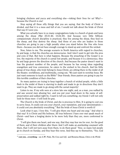bringing chickens and yucca and everything else—risking their lives for us! Why? because the Church is one!

Stop saying all these silly things that you are saying, that the body of Christ is divided, and that it is a mess and full of sin. I would not talk about the bride of Christ that way if I were you.

What you actually have in so many congregations today is a bunch of goats and tares among the sheep (Mat 25:31-46; 13:24-30). And because very little biblical, compassionate church discipline is practiced, they live among the sheep, they feed on the sheep, and they destroy the sheep. And those of you who are leaders in those churches are going to pay a high penalty when you stand before the One who loves them—because you did not have enough courage to stand up and confront the wicked.

Now, listen to me. The average scenario in North America with regard to churches, by and large, is that the churches are democracies. And I don't want to get into the pros and cons of that. But here is what happens. Because the preaching of the Gospel is so low, the majority of the church is carnal lost people, and because it is a democracy, they by and large govern the direction of the church. And because the pastor doesn't want to lose the greatest number of the people; and because he has wrong ideas regarding evangelism and true conversion, he caters to the wicked in his church. And his little group of true sheep, who truly belong to Jesus Christ, are sitting there in the midst of all the theater, worldliness, and multimedia, crying out, "We just want to worship Jesus. We just want someone to teach us the Bible!" Dear friends, these pastors are going to pay for this terrible condition of their churches.

So many pastors are trying to keep together a bunch of wicked people, while a little flock in the midst of them is starving to death and made to go in directions they don't want to go. They are made to go along with the carnal majority!

Listen to me. If my wife were at a store late one night, and, as a man, you walked by and saw several men abusing her, and you put your head down in the name of selfpreservation and walked right by, I want to tell you something, my friend: I will not only look for those men—I will look for *you*.

The Church is the bride of Christ, and she is precious to Him. It is going to cost you to serve Jesus. It could cost you your church, your reputation, and your denomination— it could cost you absolutely everything.<sup>[35](#page-25-0)</sup> But the bride of Jesus Christ is worth it!

Look what it says. I love this. "I will give them one heart and one *way*." And what is that way? It is Christ and His holiness. All true believers I have ever met speak much of Christ—and have a longing desire to be more holy than they are, more conformed to Christ.

"I will give them one heart, and one way, that they may fear me for ever, for the good of them, and of their children after them: And I will make an *everlasting covenant* with them, that I will not turn away from them, to do them good." Now, so many lost people go to church on Sunday, and they hear this verse. And they say to themselves, "Yes, God

<span id="page-25-0"></span><sup>35</sup> **cost you…everything** – see A.W. Pink, *The Cross and Self,* and Horatius Bonar, *Christ or the World.*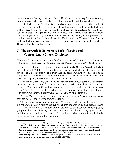has made an everlasting covenant with me. He will never turn away from me—never, never. I am secure because of God's grace." But, they fail to read the second part.

Look at what it says: "I will make an everlasting covenant with them, that I will not turn away from them, to do them good; but I will put *my fear* in their hearts, that they shall not depart from me." The evidence that God has made an everlasting covenant with you, sir, is that He has put the *fear of God* in you, so that you will not turn away from Him. And if you turn away from Him and He does not discipline you, and you continue turning away from Him, it is evidence that He has *not* put His fear in you. This is evidence that you have *not* been regenerated—you have no covenant with God at all! This, dear friends, is biblical truth.

#### <span id="page-26-0"></span>7. The Seventh Indictment: A Lack of Loving and Compassionate Church Discipline

"*Brethren, if a man be overtaken in a fault, ye which are spiritual, restore such a one in the spirit of meekness; considering thyself, lest thou also be tempted.*"—Galatians 6:1

Most evangelical pastors in America today ought to take Matthew 18 and rip it right out of their Bible.<sup>[36](#page-26-1)</sup> But you can't do that; you have got to take the whole Bible—or not any of it at all! Many pastors leave their theology behind when they come out of their study. They are theological in conversation; they are theological in their office—but when they step out, they run the church by *carnal* means.

I am not an elder at my church and so I can say this without boasting. Our church practices church discipline. $37$  It is a very large church, with about one thousand attending. The pastors estimate they have saved thirty marriages in the last several years through loving, compassionate church discipline—church discipline that does not begin with excommunication. It begins with, "Ye which are spiritual, restore..."

You say, "We can't practice discipline—we are just too loving." You are more loving than Jesus? He is the One who commanded this!

"Oh, but, it will cause so many problems." Yes, you're right. Maybe that is why there are not a whole lot of problems between the church and worldly culture today, because we are not confronting the culture around us. And we don't confront culture just by going out there and picketing Hollywood. We confront culture by obeying God! Noah built the ark and condemned the world. You don't have to have a protest sign. Just walk in obedience—and the world will hate you.

<span id="page-26-1"></span><sup>&</sup>lt;sup>36</sup> "Moreover if thy brother shall trespass against thee, go and tell him his fault between thee and him alone: if he shall hear thee, thou hast gained thy brother. But if he will not hear thee, then take with thee one or two more, that in the mouth of two or three witnesses every word may be established. And if he shall neglect to hear them, tell it unto the church: but if he neglect to hear the church, let him be unto thee as an heathen man and a publican" (Mat 18:15-17).

<span id="page-26-2"></span><sup>37</sup> **church discipline** – see John Owen, *Church Discipline,* and Alexander Strauch, *Biblical Eldership*. All titles listed in footnotes are available from CHAPEL LIBRARY.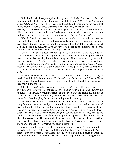"If thy brother shall trespass against thee, go and tell him his fault between thee and him alone: if he shall hear thee, thou hast gained thy brother" (Mat 18:15). *Oh, what a wonderful thing! "*But if he will not hear thee, then take with thee one or two more, that in the mouth of two or three witnesses every word may be established" (Mat 18:16). Friends, the witnesses are not there to be on your side. No, they are there to listen objectively and to render a judgment. Maybe *you* are the one that is wrong; maybe your brother is not in sin—maybe you are overcritical and legalistic. Who knows?

"If he shall neglect to hear them, tell it unto the church: but if he neglect to hear the church, let him be unto thee as a heathen man and a publican," i.e., as an outsider and a tax collector. My dear friend, I believe that we need to hear this. Either we start obeying God and disciplining ourselves, or we can have God discipline us. And maybe the hour is come and now is the time when that is going to happen!

Now, I am not talking about critical, legalistic, hateful men—there are enough of those. I am talking about a pastor, a group of elders, leaders who love enough to lay their lives on the line because they know this is not a game. This is not something that we do just for this life, but *eternity* is at stake—the salvation of souls. Look at the old books from the Spurgeons and the Whitefields, from the Puritans and the Reformation. Most of those books dealt with what is the Gospel, how do you preach it, how do you bring someone to Christ, how do you discern true conversion, how do you become a doctor of souls.

We have joined Rome in this matter. In the Roman Catholic Church, the baby is baptized, and the baby is pronounced "Christian." Henceforth, the baby *is Rome's*. Never again do you deal with conversion. You just create all sorts of worldly means to try to keep them in the church!

But listen: Evangelicals have done the same thing! Pray a little prayer with them after two or three minutes of counseling, after half an hour of preaching—twenty-five minutes of which were very funny stories—and then you draw the net for five minutes at the end. Counsel them for a little bit, and then declare them "saved." Then you spend the rest of their days discipling them, and wondering why they don't grow!

I believe in personal one-on-one discipleship. But, my dear friend, the Church got along for more than a thousand years without it, without what we now know as personal discipleship with all the books and helps available today. I want you to think about this. One-on-one discipleship became gigantic in the late 70s and it remains so until today. What is the cry? "Just as many people are going out the back doors," they say, "as are coming in the front doors, and the reason why this is happening is because we are not discipling people." No! The reason why it is happening is because people aren't getting converted. They show themselves as unconverted because Christ's sheep hear His voice and follow Him (Joh 10:3), whether you disciple them or not.

Now we ought to disciple, but that is not why they are leaving. "They went out from us because they were not of us" (1Jo 2:19). And they hardly got a chance to be "of us" because they never heard a true Gospel—no one ever dealt with their souls. So we spend a fortune discipling goats, hoping they will become sheep. You can't teach a goat into a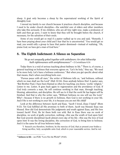sheep. A goat only becomes a sheep by the supernatural working of the Spirit of Almighty God.

I moved my family to our church because it practices church discipline, and because I need to be under church discipline—the watchful care of elders and other members who take this seriously. If my children, who are all tiny right now, make a profession of faith and then go awry, I want to know that they will be brought before the church, if necessary, for the salvation of their souls.

Some of you would get so mad if a pastor walked up to you and said, "Honestly, I have been praying about your child and I fear that he is unconverted." You would get so mad, you would rally a group to have that pastor dismissed—instead of realizing, "Oh, praise God, we have got a man of God here."

#### <span id="page-28-0"></span>8. The Eighth Indictment: A Silence on Separation

*"Be ye not unequally yoked together with unbelievers: for what fellowship hath righteousness with unrighteousness?"*—2 Corinthians 6:14

Today there is a void of serious teaching about *holiness* in life. [38](#page-28-1) There is, of course, a general teaching on holiness that everyone agrees on. "Let's be holy," they say, "We need to be more holy. Let's have a holiness conference." But when you get specific about what that means, that's when everything boils over.

"Pursue peace with all men," the writer of Hebrews tells us, "and holiness, without which no man shall see the Lord" (Heb 12:14). Does anybody believe this? A pastor says, "But Brother Paul, I have been blamed so often for teaching, you know, 'works' religion." Listen to me. Listen. It goes back again to regeneration and the providence of God. If God truly converts a man, He will continue working in that man, through teaching, blessing, admonition, and discipline. He will see to it that the work He has begun will be finished. And that is why the writer says, "Without holiness no one will see the Lord." Why?—because if there is no growth in holiness, then God is not working in your life. And if He is not working in your life, it is because you are *not His child!*

Look at the difference between Jacob and Esau. "Jacob I loved...Esau I hated" (Rom 9:13). Yet God fulfilled all His promises to both of them. Jacob was blessed; Esau was blessed. How did God demonstrate His judgments and wrath against Esau, and His love toward Jacob? First, He let them both run wild. But in Esau there was no work of discipline, no work of godly correction, nothing—this was the wrath of God upon him! But God severely disciplined Jacob almost every day of his life—this was the love of God upon him! It was the loving discipline, the correction of God, to bring him to holiness. And it is the same for all true believers today.

"I beseech you therefore, brethren, by the mercies of God, that ye present your bodies a living sacrifice, holy, acceptable unto God, which is your reasonable service. And be not

<span id="page-28-1"></span><sup>&</sup>lt;sup>38</sup> holiness in life – see  $FGB$ , "Love Not the World" (#163).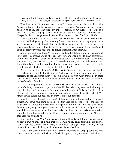conformed to this world: but be ye transformed by the renewing of your mind, that ye may prove what is that good, and acceptable, and perfect, will of God."—*Romans 12:1-2*

Why does he say "to present your bodies"? I think the reason is to avoid all this "super-spirituality" of today. You say, "I have given Jesus my *heart*, and you can't judge a book by its cover. You can't judge my inner condition by my outer works." But, as a matter of fact, you can judge a book by its cover. Jesus never said you couldn't; rather, He specifically said that you could: "You will know them by their fruit" (Mat 12:33).

Now, if you think that you have given Christ your heart, then He will have your body too. And I will tell you why. The heart, my friend, is not some blood-pumping muscle or some figment of a poet's imagination. In the Bible, *heart* refers to the very essence or core of your being. Don't tell me Jesus has the very essence and core of your being and it doesn't affect your whole body and life. It just does not happen that way!

And so, we need to go through Scripture—and not legalistically and not just drawing inferences. No, instead we go through Scripture and stand on its clear commands. Commands about what? What sort of commands guide us in our families? I do not agree with everything the Puritans said, but I do love the Puritans, and one of the reasons why I love them is because I believe they honestly made an attempt to bring everything in their lives under the lordship of Jesus Christ. Everything!

Everything, such as their *minds*! They wrote 800-page books on what we should think about according to the Scriptures. And what should not enter into our minds according to the Scriptures. What we should do with our *eyes*. What should go in these *ears* and what should not go in these ears. How the *tongue* should be ruled. What should be the *direction* of our lives.

And yes, I am going to scare you to death: How we should *dress* ! Now I am going to be careful here; I don't want to just speculate. My dear friend, my wife says it this way: If your clothing is a frame for your face from which the glory of Christ springs forth, it is of God. But if your clothing is a frame for your body, it is sensual, and God hates it. The nature of God guides our decisions in every detail of our conduct.

Now I can't go through everything of holiness, and holiness isn't just outward expression, but we have come to be a people that uses the interior work of the Spirit as an *excuse* to say nothing needs ever to happen on the outside. And that is *not* true! Some of you young men, you cry out probably more than I do that the Spirit of God would fill you and work in you, but it only takes one-half hour of television to so grieve Him, that He will be miles from you. If water is ninety-nine percent pure, and 1% sewer, then I am *not* drinking it!

One time I was struggling, and Leonard Ravenhill heard about it from my friend, and he sent a tract to me. I still have that tract. I will never, never part with that. It says, "Others can; you cannot." Young man, listen to me: I don't go to malls. I don't, and not because I am more holy than you. It is because I know what I am!

There is the story of one of the finest, greatest violinists in Europe playing his final concert as an old man. And when he finished, a young man, a violinist, walked up to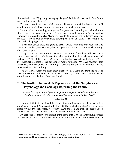him, and said, "Sir, I'd give my life to play like you." And the old man said, "Son, I *have*  given my life to play like me."

You say, "I want the power of God on my life"—then something has got to go. "I want to know Him"—then some separation from the world has to occur!

Let me tell you something, young man. Everyone else is running around in all their little retreats and conferences, and getting together with group hugs and singing Kumbaya<sup>[39](#page-30-1)</sup> and everything else. Maybe you need to get alone in the wilderness with God, and fast for seven days on your knees studying the book of Psalms—just being alone with God, belonging to Him.

To be a man of God there has got to be a sense where sometimes even your wife, who is of your own flesh, one with you, she looks you in the eye and she knows: she can't go where you are going.

Today in our churches, there is a silence on separation from the world. "Do not be bound together with unbelievers; for what partnership have righteousness and lawlessness?" (2Co 6:14)—nothing! Or "what fellowship has light with darkness?" (vs. 14)—nothing! Darkness is the opposite of God's revelation. Or what harmony does Christ have with devils? (vs. 15)—nothing! Or what has the believer in common with the unbeliever? (vs. 15)—nothing!

The Lord says, "Come out from their midst" (vs. 17). Come out from the midst of what? Come out from the midst of lawlessness, darkness, satanic devices, and the life and worldliness of the unbeliever. Come out from it!

#### <span id="page-30-0"></span>9. The Ninth Indictment: A Replacement of the Scriptures with Psychology and Sociology Regarding the Family

"*Beware lest any man spoil you through philosophy and vain deceit, after the tradition of men, after the rudiments of the world, and not after Christ.*"

—Colossians 2:8

I have a ninth indictment, and this is very important to me as an older man with a young family. I didn't get married until I was 30. My wife had something of a little brain tumor for the first eight years. We couldn't have children and then, oh, praise God, a child was born and then another and then another and then, who knows?

My dear friends, pastors, and leaders, think about this. Our Sunday morning services are so *cosmetic*. Just because there seems to be beautiful worship, and the sermon went

<span id="page-30-1"></span><sup>39</sup> **Kumbaya** – an African spiritual song from the 1930s, popular in folk music, then later in youth camp gatherings; used here to represent superficial religion and emotionalism.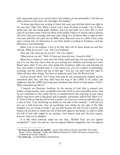well, and people seem to be moved, that is not evidence of real spirituality. I will tell you what evidence is: the home, the marriages, the families. $40^\circ$  $40^\circ$ 

"In those days there was no king in Israel, but every man did that which was right in his own eyes" (Jdg 17:6). When I travel, and I meet all kinds of people, I try to find a godly man who has raised godly children, and I go and latch on to him. But in most cases do you know what I find out? Most of the people I talk to in church want to discuss old wives' tales and sociology and every other thing. It is all about what is right in their own eyes, and they can't give me one Bible verse. But every once in a while I find a man and a woman who set themselves to rear their family according to Scripture—and the difference is overwhelming!

When I am on an airplane, I love to do this. Men will sit down beside me and they will ask, "What do you do?" I say, "Oh, I'm a husband."

They ask, "Oh, what else do you do?" "Oh, I'm a father."

"What else do you do?" "Well, if I have any time left over, I preach a little."

What does it matter if a man wins the whole world and loses his own family? Let me put it to you this way: Upon what are you rearing your children and loving your wife? Based upon what? If you can't start going into Scriptures right now and showing me how your family is founded upon it, I can assure you, you are a captive to psychology, sociology, and the whims and lies of this age.<sup>[41](#page-31-1)</sup> You see, you don't have the right to follow all these other things. You have no authority apart from the Word of God.

Look at Genesis 18:19. "For I know him, that he will command his children and his household after him, and they shall keep the *way of the LORD*, to do justice and judgment; that the LORD may bring upon Abraham that which he hath spoken of him." What a beautiful way this is!

"I beseech you therefore, brethren, by the mercies of God, that ye present your bodies a living sacrifice, holy, acceptable unto God, which is your reasonable service. And be not conformed to this world: but be ye transformed by the renewing of your mind, that ye may prove what is that good, and acceptable, and *perfect, will of God* "(Rom 12:1- 2). Verse 2 tells us that the will of God is *perfect*. So if you ever come up with this idea as a man of God, "I am sacrificing my family for the sake of the ministry," I will tell you: you are a bold faced liar. You are sacrificing your family for the sake of the little kingdom you are trying to build. I can say that because the will of God is perfect; that means I do not have to violate the will of God with regard to my family, in order to fulfill the will of God with regard to my ministry. God doesn't need you! He does require, however, that you be *obedient*.

It is like when someone asked me one time, "Brother Paul, are you against evangelism?" I said, "Yes and no. I am not against biblical evangelism, but I am against

<span id="page-31-0"></span><sup>40</sup> **the home, the marriages, the families** – see J.C. Ryle, *Duties of Parents*, and *FGB,* "The Godly Home" (#170), "Marriage" (#200), and "Biblical Parenthood" (#204). All titles in footnotes are available from CHAPEL LIBRARY.

<span id="page-31-1"></span><sup>41</sup> **lies of this age** – see Erroll Hulse, *Postmodernism*.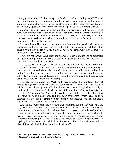the way you are doing it." "Are you against Sunday school and youth groups?" "Yes and no." I want to give you two examples in order to explain something to you. For some of you what I am going to say will not be strong enough, and for some of you I am going to be too strong. I just want to use these two things to point out what is wrong with us.

*Sunday school.* No matter what denomination you are a part of, if you are a part of some denomination that is kind of organized, I can assure you that your denomination spends multi-millions of dollars on Sunday school material, on conferences, on teaching teachers how to teach Sunday school, and on doing everything in the book to promote Sunday school. I know that for a fact.

Let me ask you. How much money does your denomination spend, and how many conferences and man-hours are invested, to teach fathers to teach their children? God doesn't have a plan B; He only has a plan A. When you circumvent plan A, then you discover that plan B won't work!

Now I am not saying that children can't come together in groups and be catechized or taught anything, but if that ever even begins to supplant the ministry of the father in the home, $42$  you must blow it to pieces!

Do you see what I am saying? Look at just this one tiny example. There is everything available for Sunday school. But there is hardly a conference in this entire country to teach men how to teach their children. And most of the time in the Sunday school it is nothing more than entertainment, because the Sunday school teacher doesn't have the authority to discipline your child. And even if they did, most wouldn't do it because they don't believe in it. That's just one tiny example.

Now let's look at *youth groups*. "Well, youth need to be together. You know, they just need to be together." Really? What does the Scripture say? "He who walks with wise men will be wise, But the companion of fools will suffer harm" (Pro 13:20)! Who ever told you youth ought to be together? I'll tell you who told you: the 1960s psychologists who created the "generation gap." No!—youth need to be with adults so that they stop acting like naïve fools, join adulthood, and put away foolishness—which leads to their destruction. Now I am not saying you can't bring youth together, but I submit that if you do, you should have all their parents there.

And you say, "What about the lost youth that comes into our church?" Well, what are they seeing now? The lost youth come into your Christian youth in church and they see almost the same thing they see in their own homes: no parents, and kids teaching kids. Or one guy a little bit older with mousse in his hair teaching kids. But what would happen if lost youth came into your church and they saw the youth there in a loving, wonderful relationship with their parents? They would go, "Whoa! I have never seen anything like this before. His dad, look at him. He loves his son! And the son, he loves his dad! I mean look at the love. So is this Christianity?"

<span id="page-32-0"></span><sup>&</sup>lt;sup>42</sup> the ministry of the father in the home – see  $FGB$ , "Family Worship" ( $\#$  188) and "Godly Manhood" (# 192), and J.C. Ryle, *Duties of Parents*.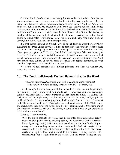Our situation in the churches is very needy, but we tend to be blind to it. It is like the situation where a man comes up to me with a bleeding forehead, and he says, "Brother Paul, I have been everywhere. No one can diagnose my problem." And I say, "Well, I am no doctor, but I'll follow you around for 24 hours to see what we can see." And I notice that every time the hour strikes, he hits himself in the head with a brick. If it strikes one he hits himself one time. If it strikes two, he hits himself twice. If it strikes twelve, he hits himself twelve times in the head with the brick. After observing this, cautiously and carefully, taking notes for 24 hours, I come up to him and I say, "You know, I am no doctor, but I think I have figured out your problem."

It is that pathetic among us, Church! Why do our children do what they do? Why is everything so turned upside down? It is like one dear saint who wouldn't let his teenage son go out with a young lady to be in some private place. Someone asked him one time, "Don't you trust your son?" He said, "No, I don't trust my son. What ever made you think that? I don't even trust his dad! I wouldn't put his father alone with a woman that wasn't his wife, and yet I have much more to lose from impropriety than my son. And I have much more control of my will than a teenager with raging hormones. So what would make you ever think I would trust my son?"

We violate biblical principle after biblical principle, and then we wonder why everything is a mess.

#### <span id="page-33-0"></span>10. The Tenth Indictment: Pastors Malnourished in the Word

"*Study to shew thyself approved unto God, a workman that needeth not to be ashamed, rightly dividing the word of truth.*"—2 Timothy 2:15

I was listening a few months ago to all the horrendous things that are happening to our country (I don't know what you would call it anymore: republic, democracy, country, socialistic state?). I was so burdened as I sat there listening; I was saying, "Oh, God, what can I do? Right now, Lord, honestly, with all that is in me, I will jump in the middle of the fire. If there is a charging rhino, I will jump in front of it. Just tell me what to do! Do you want me to go to Washington and just stand in front of the White House and preach until they throw me in jail? I am tired of just preaching to Christians and in churches and conferences. Oh God, the country is going to hell! What do you want me to do? Just throw me at them."

Listen to 1 Timothy 4:1-16.

1 Now the Spirit speaketh expressly, that in the latter times some shall depart from the faith, giving heed to seducing spirits, and doctrines of devils; <sup>2</sup>Speaking lies in hypocrisy; having their conscience seared with a hot iron; <sup>3</sup>Forbidding to marry, and commanding to abstain from meats, which God hath created to be received with thanksgiving of them which believe and know the truth. <sup>4</sup>For every creature of God is good, and nothing to be refused, if it be received with thanksgiving: <sup>5</sup>For it is sanctified by the word of God and prayer. <sup>6</sup>If thou put the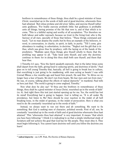brethren in remembrance of these things, thou shalt be a good minister of Jesus Christ, nourished up in the words of faith and of good doctrine, whereunto thou hast attained. <sup>7</sup>But refuse profane and old wives' fables, and exercise thyself rather unto godliness. <sup>8</sup>For bodily exercise profiteth little: but godliness is profitable unto all things, having promise of the life that now is, and of that which is to come.  $\degree$ This is a faithful saying and worthy of all acceptation.  $\degree$ For therefore we both labour and suffer reproach, because we trust in the living God, who is the Saviour of all men, specially of those that believe. <sup>11</sup>These things command and teach. 12Let no man despise thy youth; but be thou an example of the believers, in word, in conversation, in charity, in spirit, in faith, in purity.  $13$ Till I come, give attendance to reading, to exhortation, to doctrine. <sup>14</sup>Neglect not the gift that is in thee, which was given thee by prophecy, with the laying on of the hands of the presbytery. 15Meditate upon these things; give thyself wholly to them; that thy profiting may appear to all. <sup>16</sup>Take heed unto thyself, and unto the doctrine; continue in them: for in doing this thou shalt both save thyself, and them that hear thee.

1 Timothy 4:1 says, "Now the Spirit speaketh expressly, that in the latter times some shall depart from the faith, giving heed to seducing spirits, and doctrines of devils." Paul goes on to tell young Timothy that, basically, all hell is going to break lose in culture, that everything is just going to be maddening, with men acting as beasts! I was with Conrad Mbewe a few months ago and heard him preach. He said this: "In Africa we no longer have a fear of beasts. We don't run from beasts. We fear men and run from men." He was, of course, talking about the effects of radical depravity<sup>[43](#page-34-0)</sup> in mankind. Paul tells us here just that: "The world is going to come unglued, Timothy."

Now what does he also say? "If thou put the brethren in remembrance of these things, thou shalt be a good minister of Jesus Christ, nourished up in the words of faith" (vs. 6). And right there this text just started opening up for me. Yes, the world has lost its mind! Everything bad is going to happen. God is telling us, "It is all under My providence, but listen to Me! Here should be your reaction in the midst of all hell breaking loose, in the midst of apostasy, in the midst of persecution. Here is what you need to do: Be constantly 'nourished up in the words of faith.'"

Instead, we always want to run out there and *do* something. We want to fix something. But God is seeking men of character, polished swords. First of all, son, be constantly "nourished up in the words of faith and of good doctrine whereunto thou hast attained." This "whereunto thou hast attained" is very important. It means "that which you have been following." I think it is indicating to us that a simple intellectual study of Scripture *will not* achieve the goal that God has for His people. They must obey it. They must begin following it. You cannot learn doctrine well until you follow the doctrine you learn!

<span id="page-34-0"></span><sup>43</sup> **radical depravity** – see A.W. Pink, *The Doctrine of Human Depravity*.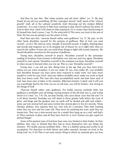And then he says this, "But refuse profane and old wives' fables" (vs. 7). My dear friend, let me tell you something. All this "emergent church" stuff, much of the "church growth" stuff, all of the cultural sensitivity stuff, throwing out the window *biblical* sensitivity—it is just a bunch of little boys wanting to play church without the power of God on their lives. (And I will stand on that statement.) It is a lesser than David trying to fit himself into Saul's armor. I say: To the wind with it! The more you trust in the arm of flesh, the less you are going to see the power of God.

Paul then says this, "exercise thyself rather unto godliness" (vs. 7). He says, on the other hand, discipline yourself for the purpose of godliness. Man of God, you want revival?—so do I. We need an army, though. If powerful swords, if mighty, flaming pipes and swords and weaponry are to be dropped out of heaven for us to fight with, then we must be the caliber of men who can wield those things to fight with sound character. We should discipline ourselves for the purpose of godliness.

Young men, discipline yourself to prayer. Discipline yourself to the systematic reading of Scripture from Genesis to Revelation over and over and over again. Discipline yourself in your speech. Discipline yourself in the company you keep. Discipline yourself in when you go to bed and when you rise up. This is a war. Discipline yourself !

Young men, I can tell you this. Being born in the age that you have been born, unless you are some exception, if you are under 30, yea, even under 40—you probably lack discipline because you have never been required to really work. You have never needed to work for your food—and your fathers probably never made you work so hard that your bones cried. The men who have accomplished much and have been used of God, have been men of labor in the ministry. Effectual ministry is *hard*, and it will cost you everything! And by the time you are an old man, you will be broken—but strong in the things of God!

"Exercise thyself rather unto godliness. For bodily exercise profiteth little: but godliness is profitable unto all things, having promise of the life that now is, and of that which is to come" (vs. 7-8). Oh, my dear friends, who cares about "your best life now"? It is all about eternity! Someday you will stand in those granite halls before the Lord of glory, and kings and the greatest men on earth will be divided and split and culled some cast into eternal hell and some invited into eternal glory to live for eternity. These Olympic athletes, how majestic they are—but only for a moment. They start training when they are four and five years old. They never do anything but train until they are twenty-two. They run a nine-second race for a medal they hang up on a wall, and that's it! There moment of glory and all they have lived for is over! Cannot you give equal for *eternal* things?

Some of the greatest men of God have been men very limited in their bodies. In their abilities, they were so limited that they had to focus themselves into one thing: the ministry. "For bodily exercise profiteth little…This is a faithful saying and worthy of all acceptation. For therefore we both labour and suffer reproach, because we trust in the living God" (vs. 8-10) This is not some martyr thing in which we uselessly give our lives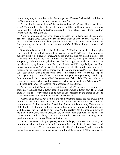to one thing, only to be pulverized without hope. No. We serve God, and God will honor us. We affix our hope on Him and He gives us strength!

Oh, this life is a vapor. I am 47, but yesterday I was 21. Where did it all go? It is a vapor! While you have strength, preach. I praise God that, in His providence as a young man, I spent myself in the Andes Mountains and in the jungles of Peru—doing what I no longer have the strength to do.

While you are a young man, while there is strength in you, labor with all your might. Take those stupid video games of yours and crush them under your feet. Throw the TV out the window. You were made for greater things than these. If you are a child of the King, nothing on this earth can satisfy you, *nothing* ! "These things command and teach" (vs. 11)

Now, there is so much here, but look at vs. 15. "Meditate upon these things; give thyself wholly to them; that thy profiting may appear to all." Let's say that on a wooden table my child spills a glass of water. And by the laws that God has placed in nature, the water heaps up a bit on the table, so much that you can see it as a pool. You walk by it and you say, "There is water spilled on the table." It is apparent to all. But then I come by, take a towel, lay it across the spilled pool of water, and lift it up. And you say, "I no longer see any water." Where is it?—it is absorbed into the towel. Men, you are to meditate on, be absorbed in these things of godliness and character. Pastors, I plead with you; listen to me—this is so important: You are not errand boys! You are not to spend your days wiping the noses of carnal churchmen. Get yourself in your study. Drink deep. Be so absorbed in the knowing of God that people say, "Where is he? He used to be such a man about town, such a friend to everyone, such a personable fellow. Where is he?" well, just like the water in the towel, he is absorbed in these things!

We are men of God. We are ministers of the most high. There should be an otherness about us. We should have a distant gaze in our eyes towards a distant star. The greatest thing we can do for our people is to be men of God, absorbed in the things of God, so that when we open our mouths the Word of God comes out.

Where I go to church, Jeff Noblit is the main preaching pastor. He has always given himself to study, but when I got there, I talked to him and the other leaders. And any time someone asked me something I said this: "Please do this one thing. Take as much of the burden off of brother Noblit as we possibly can and let him live in that study with God, because I have got children out here. And the greatest gift that man could give to me is to study to show himself approved, and to come out in that pulpit in the power of the Holy Spirit and proclaim, 'Thus saith the Lord,' correcting and rebuking, giving great promises and warnings. Please, do that for me."

Pastor, please do that for your people, because God says, "Take heed unto thyself, and unto the doctrine; continue in them: for in doing this thou shalt both save thyself, and them that hear thee." This verse means almost nothing in the evangelical community today. How many pastors and preachers do you think take it seriously? How many say to